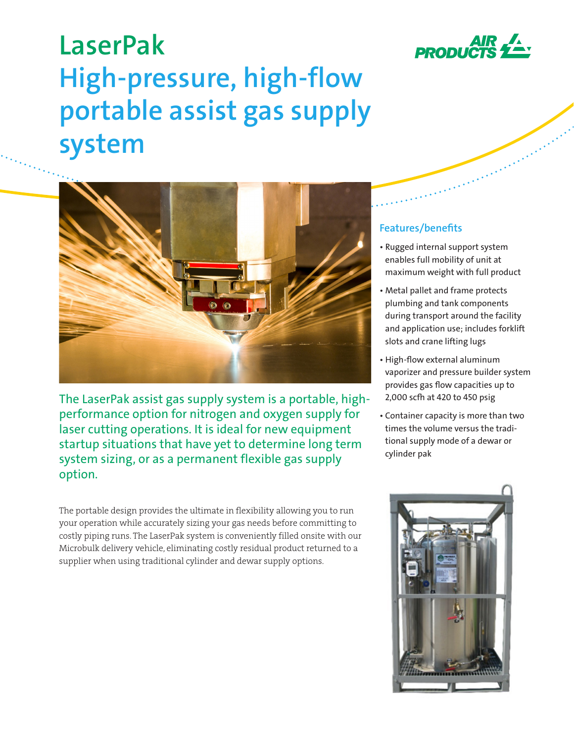

# **LaserPak High-pressure, high-flow portable assist gas supply system**



The LaserPak assist gas supply system is a portable, highperformance option for nitrogen and oxygen supply for laser cutting operations. It is ideal for new equipment startup situations that have yet to determine long term system sizing, or as a permanent flexible gas supply option.

The portable design provides the ultimate in flexibility allowing you to run your operation while accurately sizing your gas needs before committing to costly piping runs. The LaserPak system is conveniently filled onsite with our Microbulk delivery vehicle, eliminating costly residual product returned to a supplier when using traditional cylinder and dewar supply options.

## **Features/benefits**

- Rugged internal support system enables full mobility of unit at maximum weight with full product
- Metal pallet and frame protects plumbing and tank components during transport around the facility and application use; includes forklift slots and crane lifting lugs
- High-flow external aluminum vaporizer and pressure builder system provides gas flow capacities up to 2,000 scfh at 420 to 450 psig
- Container capacity is more than two times the volume versus the traditional supply mode of a dewar or cylinder pak